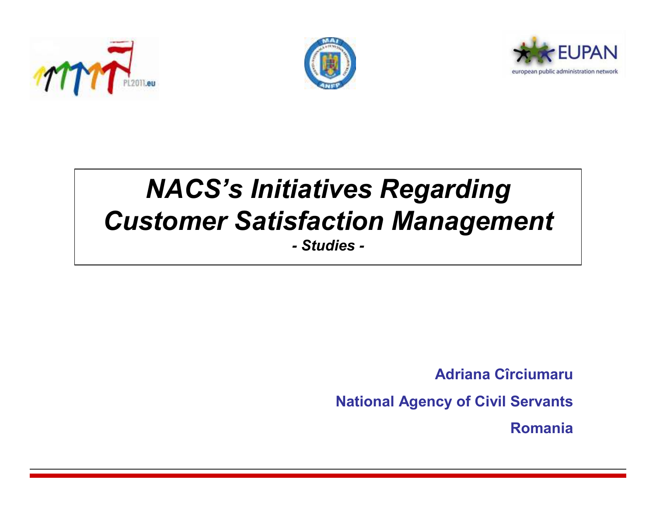





# *NACS's Initiatives Regarding Customer Satisfaction Management- Studies -*

**Adriana Cîrciumaru**

**National Agency of Civil Servants**

**Romania**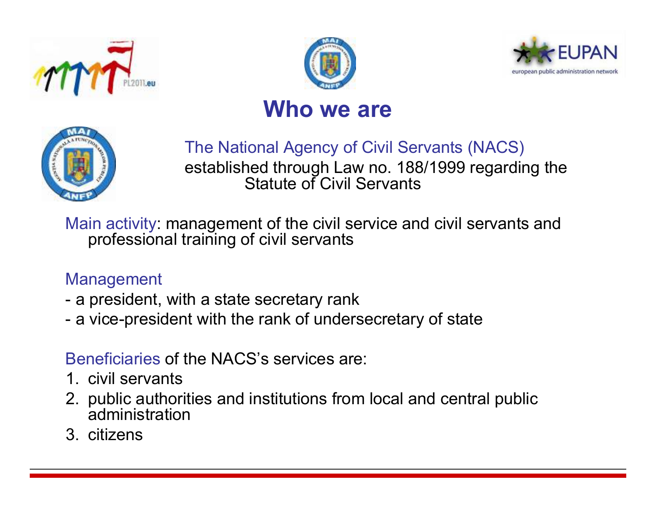





#### **Who we are**



#### The National Agency of Civil Servants (NACS)

established through Law no. 188/1999 regarding the Statute of Civil Servants

Main activity: management of the civil service and civil servants and professional training of civil servants

#### Management

- a president, with a state secretary rank
- a vice-president with the rank of undersecretary of state

#### Beneficiaries of the NACS's services are:

- 1. civil servants
- 2. public authorities and institutions from local and central public administration
- 3. citizens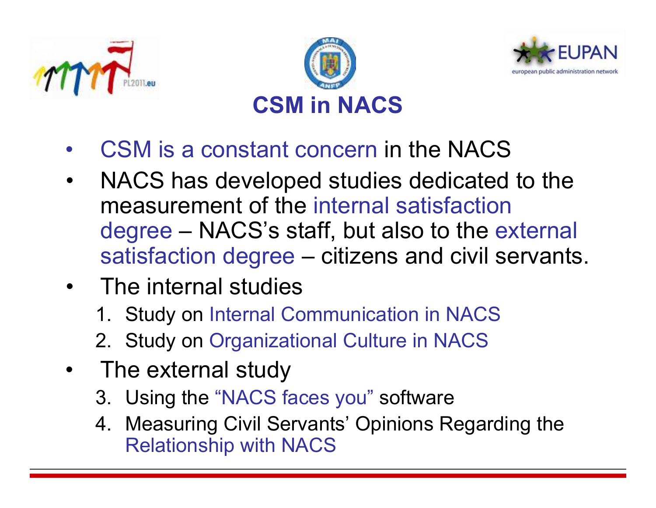





- •CSM is a constant concern in the NACS
- • NACS has developed studies dedicated to the measurement of the internal satisfaction degree – NACS's staff, but also to the external<br>sotisfaction degree – citizons and civil servants satisfaction degree – citizens and civil servants.<br>—
- The internal studies
	- 1. Study on Internal Communication in NACS
	- 2. Study on Organizational Culture in NACS
- • The external study
	- 3. Using the "NACS faces you" software
	- 4. Measuring Civil Servants' Opinions Regarding the Relationship with NACS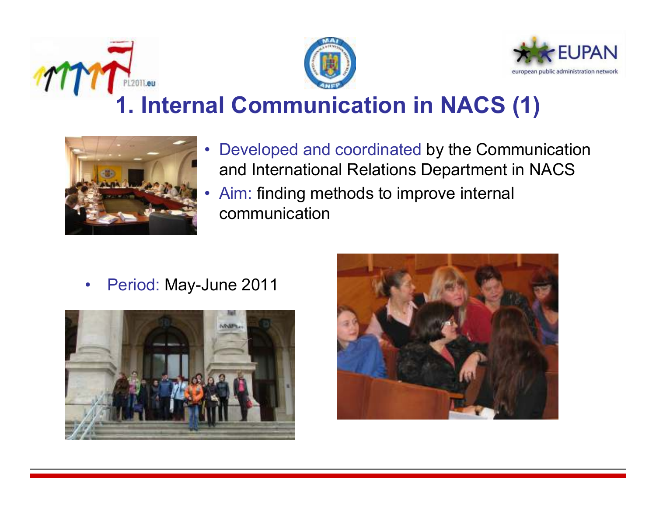





# **1. Internal Communication in NACS (1)**



- $\bullet$  Developed and coordinated by the Communication and International Relations Department in NACS
- • Aim: finding methods to improve internal communication

 $\bullet$ Period: May-June 2011



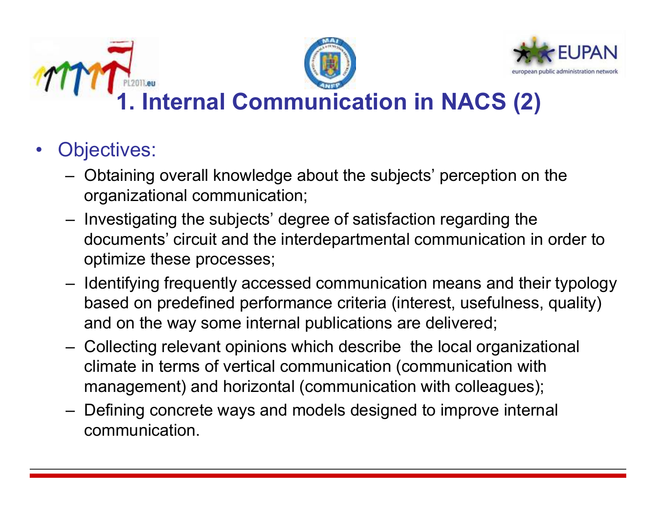





**Internal Communication in NACS (2)** 

- • Objectives:
	- Obtaining overall knowledge about the subjects' perception on the organizational communication;
	- Investigating the subjects' degree of satisfaction regarding the documents' circuit and the interdepartmental communication in order to optimize these processes;
	- Identifying frequently accessed communication means and their typology based on predefined performance criteria (interest, usefulness, quality) and on the way some internal publications are delivered;
	- Collecting relevant opinions which describe the local organizational<br>climate in terms of variant communication (communication with climate in terms of vertical communication (communication with management) and horizontal (communication with colleagues);
	- Defining concrete ways and models designed to improve internal communication.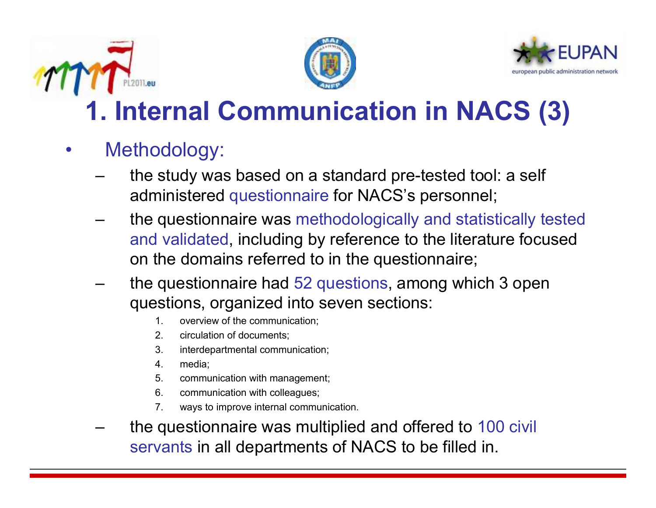





# **1. Internal Communication in NACS (3)**

- • Methodology:
	- the study was based on a standard pre-tested tool: a self administered questionnaire for NACS's personnel;
	- the questionnaire was methodologically and statistically tested and validated, including by reference to the literature focused on the domains referred to in the questionnaire;
	- the questionnaire had 52 questions, among which 3 open questions, organized into seven sections:
		- 1. overview of the communication;<br>2. circulation of documents:
		- 2. circulation of documents;<br>3. interdepartmental commu
		- 3. interdepartmental communication;<br>4. media:
		- 4. media;
		- 5. communication with management;<br>6. communication with colleagues:
		- 6. communication with colleagues;<br>7. wavs to improve internal commu
		- ways to improve internal communication.
	- the questionnaire was multiplied and offered to 100 civil servants in all departments of NACS to be filled in.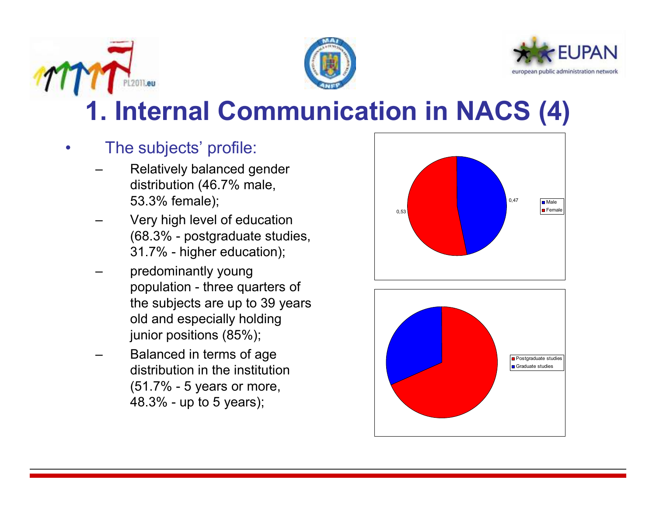





# **1. Internal Communication in NACS (4)**

- $\bullet$  The subjects' profile:
	- Relatively balanced gender distribution (46.7% male, 53.3% female);
	- Very high level of education (68.3% - postgraduate studies, 31.7% - higher education);
	- predominantly young population - three quarters of the subjects are up to 39 years old and especially holding junior positions (85%);
	- Balanced in terms of age distribution in the institution (51.7% - 5 years or more, 48.3% - up to 5 years);



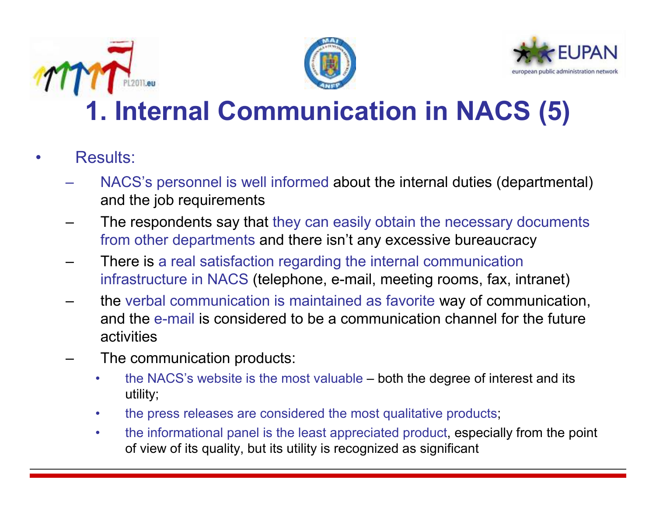





# **1. Internal Communication in NACS (5)**

- • Results:
	- NACS's personnel is well informed about the internal duties (departmental) and the job requirements
	- – The respondents say that they can easily obtain the necessary documents from other departments and there isn't any excessive bureaucracy
	- – There is a real satisfaction regarding the internal communication infrastructure in NACS (telephone, e-mail, meeting rooms, fax, intranet)
	- – the verbal communication is maintained as favorite way of communication, and the e-mail is considered to be a communication channel for the future activities
	- – The communication products:
		- • the NACS's website is the most valuable – both the degree of interest and its utility;
		- $\bullet$ the press releases are considered the most qualitative products;
		- • the informational panel is the least appreciated product, especially from the point of view of its quality, but its utility is recognized as significant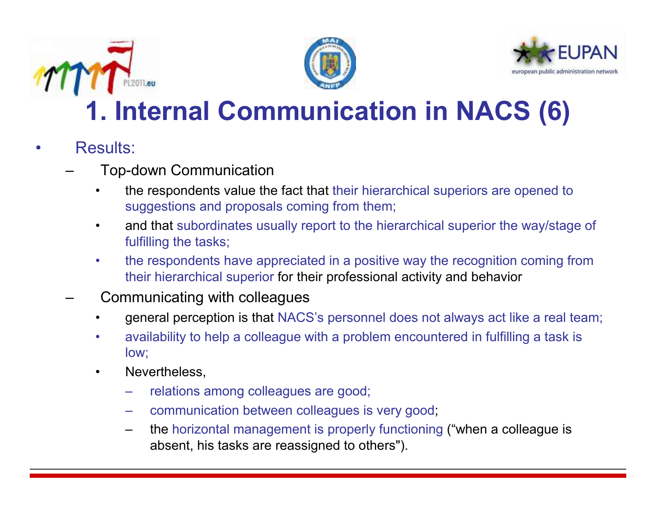





# **1. Internal Communication in NACS (6)**

- • Results:
	- – Top-down Communication
		- • the respondents value the fact that their hierarchical superiors are opened to suggestions and proposals coming from them;
		- $\bullet$  and that subordinates usually report to the hierarchical superior the way/stage of fulfilling the tasks;
		- • the respondents have appreciated in a positive way the recognition coming from their hierarchical superior for their professional activity and behavior

#### –Communicating with colleagues

- •general perception is that NACS's personnel does not always act like a real team;
- • availability to help a colleague with a problem encountered in fulfilling a task is low;
- • Nevertheless,
	- relations among colleagues are good;
	- communication between colleagues is very good;
	- – the horizontal management is properly functioning ("when a colleague is absent, his tasks are reassigned to others").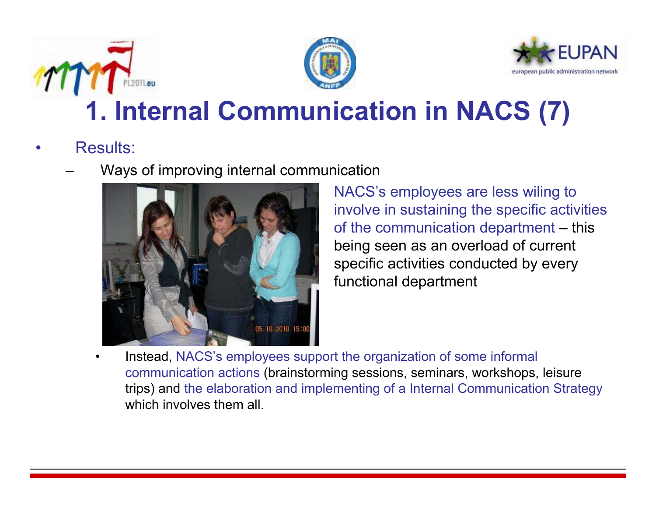





# **1. Internal Communication in NACS (7)**

- • Results:
	- –Ways of improving internal communication



NACS's employees are less wiling to involve in sustaining the specific activities of the communication department – this being seen as an overload of current specific activities conducted by every functional department

• Instead, NACS's employees support the organization of some informal communication actions (brainstorming sessions, seminars, workshops, leisure trips) and the elaboration and implementing of a Internal Communication Strategywhich involves them all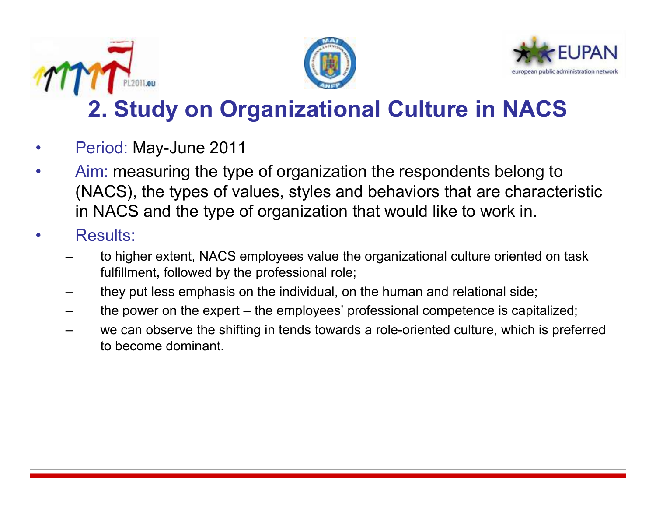





### **2. Study on Organizational Culture in NACS**

- •Period: May-June 2011
- • Aim: measuring the type of organization the respondents belong to (NACS), the types of values, styles and behaviors that are characteristic in NACS and the type of organization that would like to work in.
- • Results:
	- to higher extent, NACS employees value the organizational culture oriented on task fulfillment, followed by the professional role;
	- they put less emphasis on the individual, on the human and relational side;
	- the power on the expert the employees' professional competence is capitalized;
	- we can observe the shifting in tends towards a role-oriented culture, which is preferred to become dominant.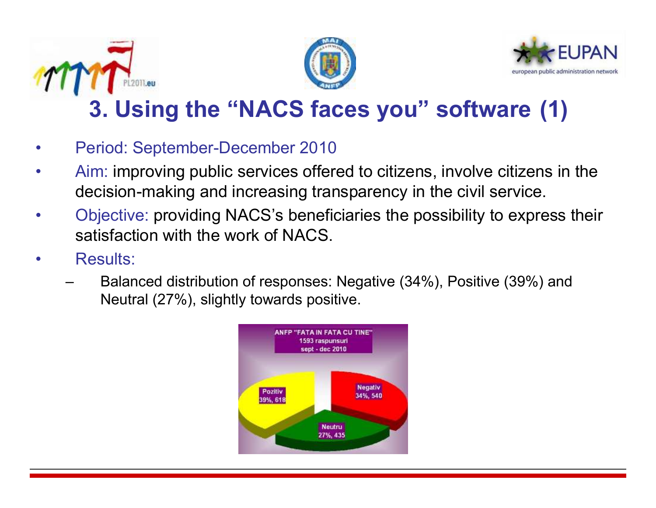





### **3. Using the "NACS faces you" software (1)**

- •Period: September-December 2010
- • Aim: improving public services offered to citizens, involve citizens in the decision-making and increasing transparency in the civil service.
- • Objective: providing NACS's beneficiaries the possibility to express their satisfaction with the work of NACS.
- • Results:
	- – Balanced distribution of responses: Negative (34%), Positive (39%) and Neutral (27%), slightly towards positive.

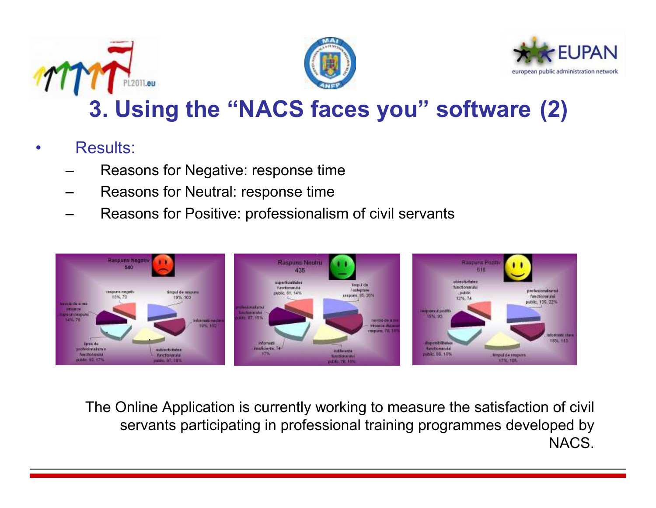





#### **3. Using the "NACS faces you" software (2)**

- • Results:
	- –Reasons for Negative: response time
	- –Reasons for Neutral: response time
	- –Reasons for Positive: professionalism of civil servants



The Online Application is currently working to measure the satisfaction of civil servants participating in professional training programmes developed by NACS.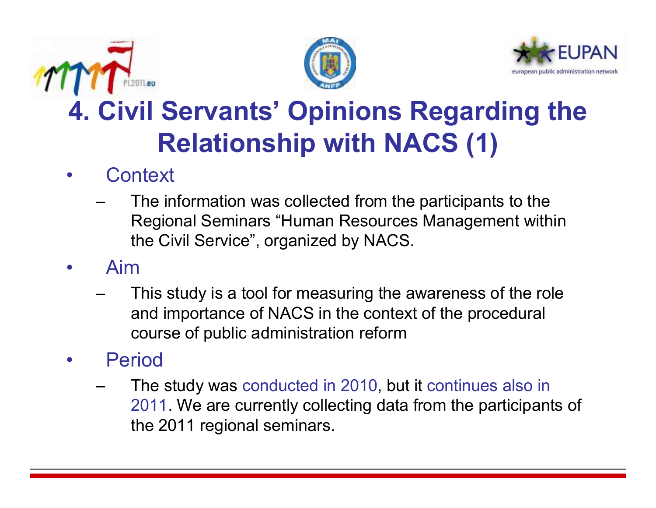





# **4. Civil Servants' Opinions Regarding the Relationship with NACS (1)**

#### •**Context**

- – The information was collected from the participants to the Regional Seminars "Human Resources Management within the Civil Service", organized by NACS.
- • Aim
	- – This study is a tool for measuring the awareness of the role and importance of NACS in the context of the procedural course of public administration reform
- • Period
	- – The study was conducted in 2010, but it continues also in 2011. We are currently collecting data from the participants of the 2011 regional seminars.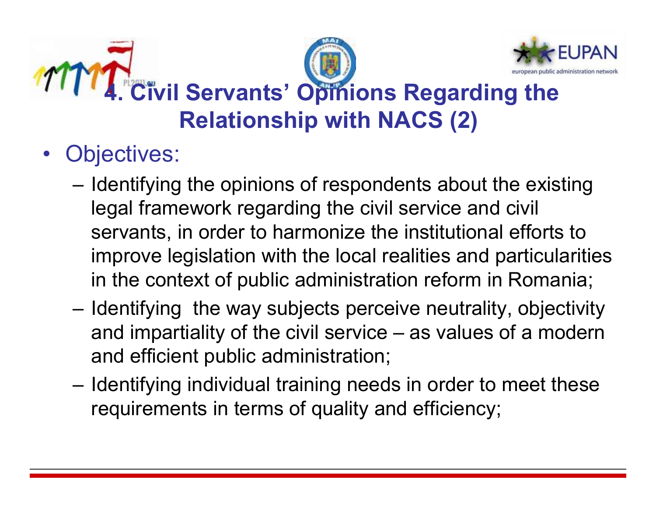

- Objectives:
	- –Identifying the opinions of respondents about the existing<br>Legal framework responding the similar angles and simil legal framework regarding the civil service and civil servants, in order to harmonize the institutional efforts to improve legislation with the local realities and particularitiesin the context of public administration reform in Romania;
	- and the state of the Identifying the way subjects perceive neutrality, objectivity and impartiality of the civil service – as values of a modern and efficient public administration;
	- and the state of the Identifying individual training needs in order to meet these requirements in terms of quality and efficiency;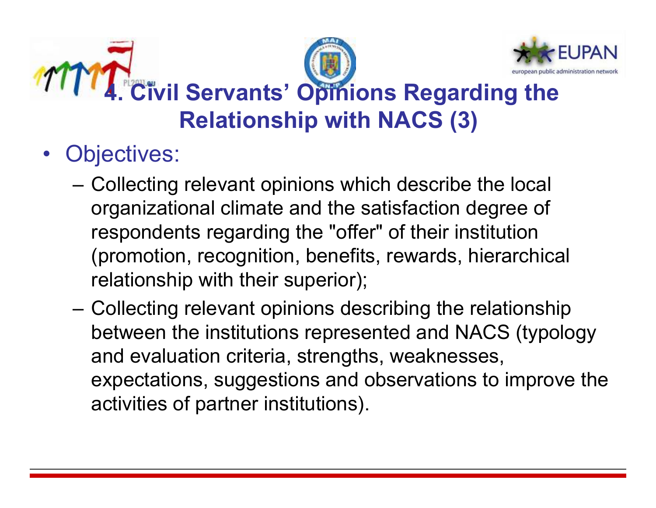

- Objectives:
	- –Collecting relevant opinions which describe the local organizational climate and the satisfaction degree of respondents regarding the "offer" of their institution (promotion, recognition, benefits, rewards, hierarchical relationship with their superior);
	- and the state of the Collecting relevant opinions describing the relationship<br>between the institutions represented and NACS (typels) between the institutions represented and NACS (typology and evaluation criteria, strengths, weaknesses, expectations, suggestions and observations to improve the activities of partner institutions).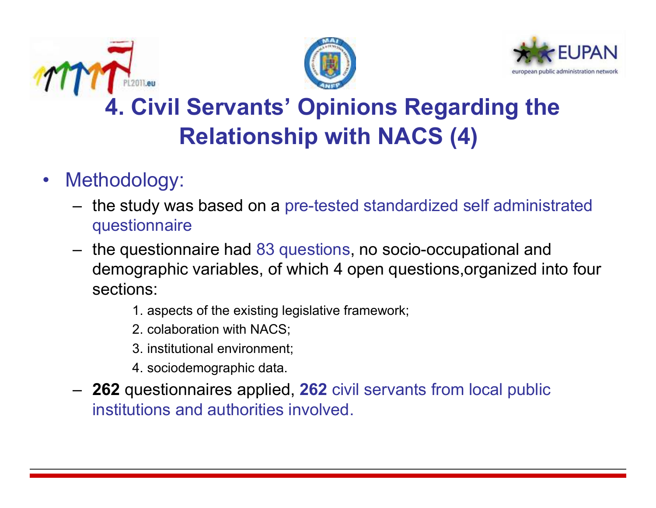





# **4. Civil Servants' Opinions Regarding the Relationship with NACS (4)**

- $\bullet$  Methodology:
	- – the study was based on a pre-tested standardized self administrated questionnaire
	- –the questionnaire had 83 questions, no socio-occupational and<br>demographic variables, of which 4 anex questions arganized int demographic variables, of which 4 open questions,organized into four sections:
		- 1. aspects of the existing legislative framework;
		- 2. colaboration with NACS;
		- 3. institutional environment;
		- 4. sociodemographic data.
	- – **<sup>262</sup>** questionnaires applied, **<sup>262</sup>** civil servants from local public institutions and authorities involved.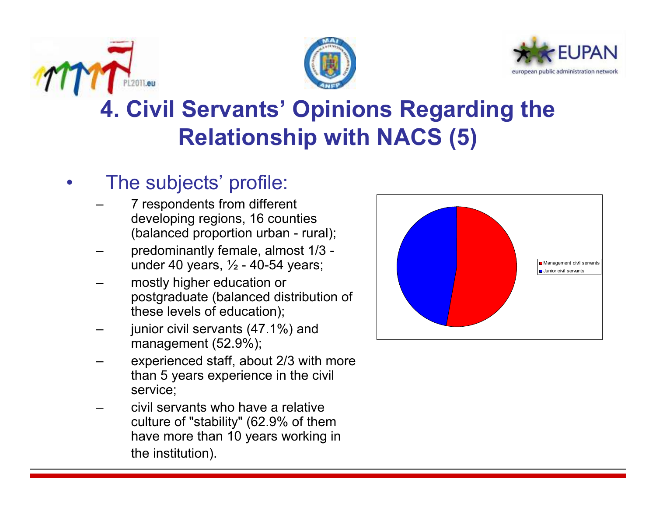





### **4. Civil Servants' Opinions Regarding the Relationship with NACS (5)**

#### •The subjects' profile:

- – 7 respondents from different developing regions, 16 counties (balanced proportion urban - rural);
- – predominantly female, almost 1/3 under 40 years,  $\frac{1}{2}$  - 40-54 years;
- – mostly higher education or postgraduate (balanced distribution of these levels of education);
- – junior civil servants (47.1%) and management (52.9%);
- – experienced staff, about 2/3 with more than 5 years experience in the civil service;
- – civil servants who have a relative culture of "stability" (62.9% of them have more than 10 years working in the institution).

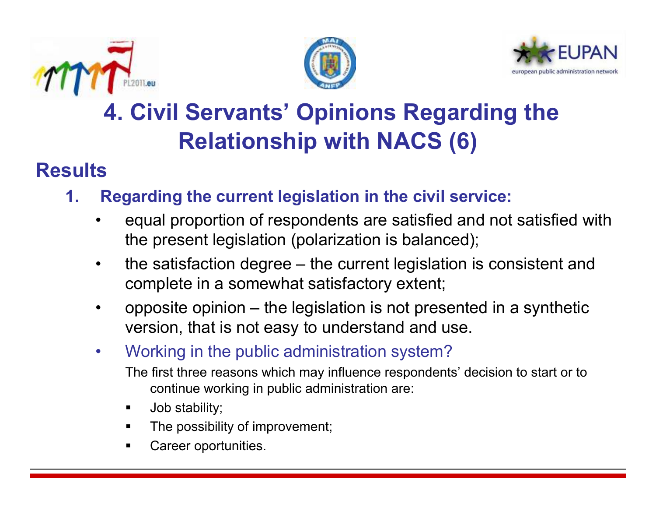





### **4. Civil Servants' Opinions Regarding the Relationship with NACS (6)**

#### **Results**

- **1. Regarding the current legislation in the civil service:**
	- • equal proportion of respondents are satisfied and not satisfied with the present legislation (polarization is balanced);
	- • the satisfaction degree – the current legislation is consistent and complete in a somewhat satisfactory extent;
	- • opposite opinion – the legislation is not presented in a synthetic version, that is not easy to understand and use.
	- $\bullet$  Working in the public administration system?
		- The first three reasons which may influence respondents' decision to start or to continue working in public administration are:
		- $\blacksquare$ Job stability;
		- The possibility of improvement;
		- Career oportunities.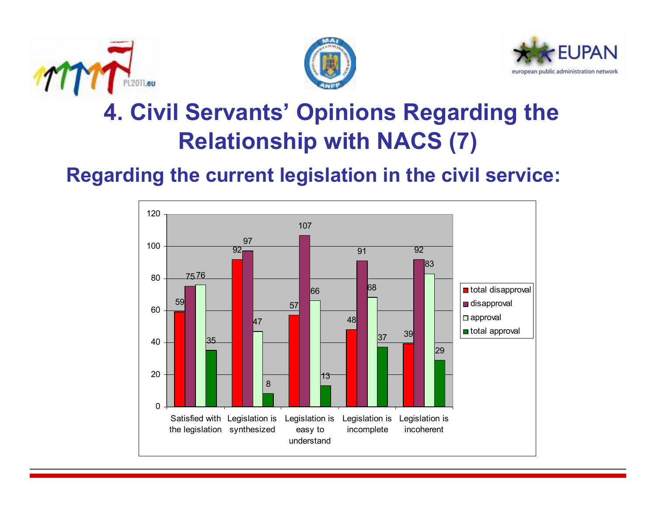





### **4. Civil Servants' Opinions Regarding the Relationship with NACS (7)**

#### **Regarding the current legislation in the civil service:**

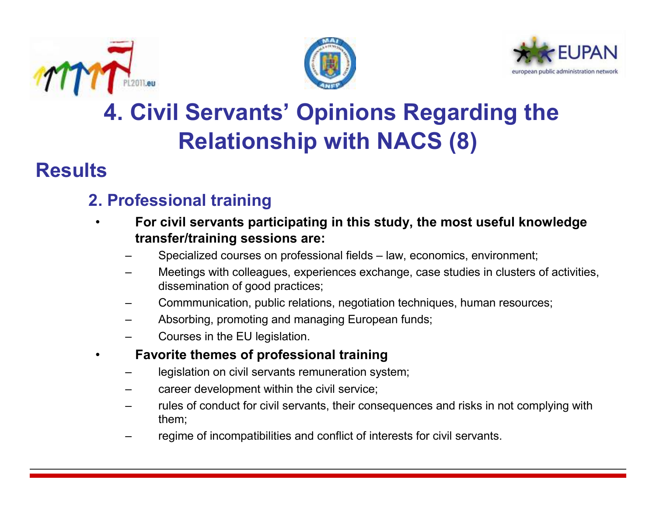

•





### **4. Civil Servants' Opinions Regarding the Relationship with NACS (8)**

#### **Results**

#### **2. Professional training**

- **For civil servants participating in this study, the most useful knowledge transfer/training sessions are:**
	- Specialized courses on professional fields law, economics, environment;
	- Meetings with colleagues, experiences exchange, case studies in clusters of activities, dissemination of good practices;
	- Commmunication, public relations, negotiation techniques, human resources;
	- Absorbing, promoting and managing European funds;
	- Courses in the EU legislation.
- • **Favorite themes of professional training**
	- legislation on civil servants remuneration system;
	- career development within the civil service;
	- rules of conduct for civil servants, their consequences and risks in not complying with them;
	- regime of incompatibilities and conflict of interests for civil servants.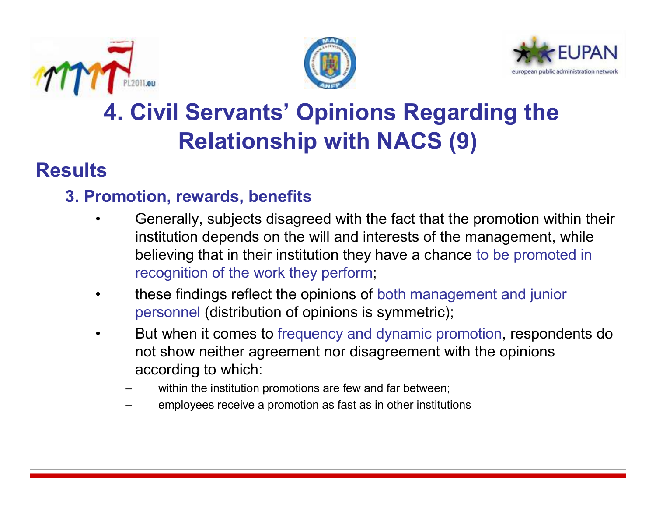





### **4. Civil Servants' Opinions Regarding the Relationship with NACS (9)**

#### **Results**

#### **3. Promotion, rewards, benefits**

- Generally, subjects disagreed with the fact that the promotion within their<br>institution depends on the will and interests of the measurement, while •institution depends on the will and interests of the management, while believing that in their institution they have a chance to be promoted in recognition of the work they perform;
- • these findings reflect the opinions of both management and junior personnel (distribution of opinions is symmetric);
- • But when it comes to frequency and dynamic promotion, respondents do not show neither agreement nor disagreement with the opinions according to which:
	- within the institution promotions are few and far between;
	- employees receive a promotion as fast as in other institutions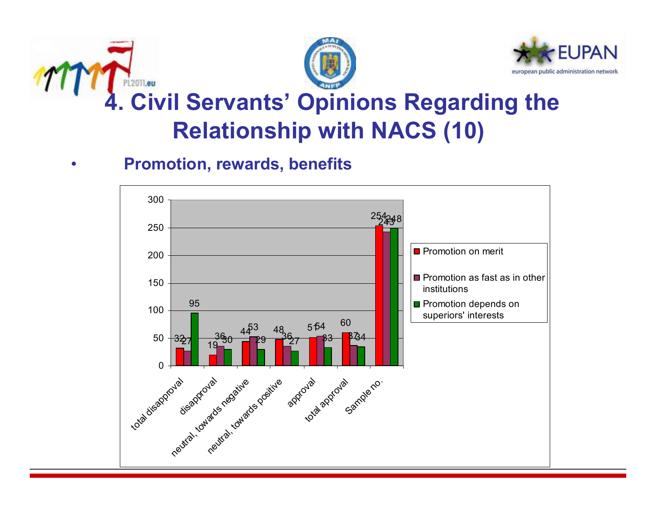





### **4. Civil Servants' Opinions Regarding the Relationship with NACS (10)**



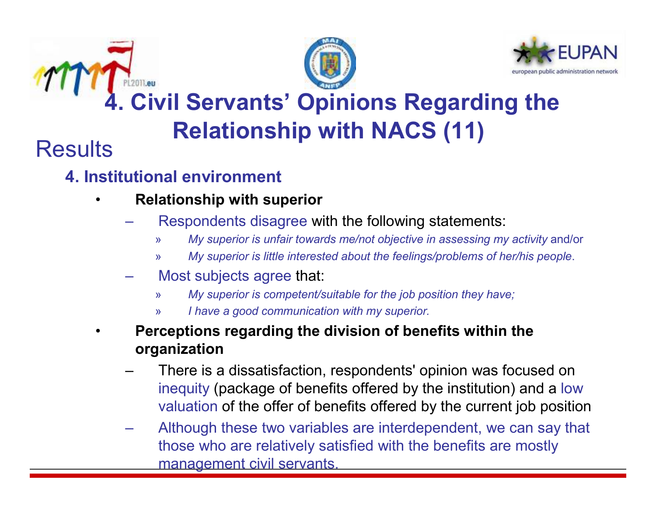

•





# **4. Civil Servants' Opinions Regarding the Relationship with NACS (11)**

#### **Results**

#### **4. Institutional environment**

- **Relationship with superior**
	- Respondents disagree with the following statements:
		- »*My superior is unfair towards me/not objective in assessing my activity and/or*
		- »*My superior is little interested about the feelings/problems of her/his people*.
	- Most subjects agree that:
		- »*My superior is competent/suitable for the job position they have;*
		- »*I have a good communication with my superior.*
- • **Perceptions regarding the division of benefits within the organization**
	- There is a dissatisfaction, respondents' opinion was focused on inequity (package of benefits offered by the institution) and a low valuation of the offer of benefits offered by the current job position
	- Although these two variables are interdependent, we can say that those who are relatively satisfied with the benefits are mostly management civil servants.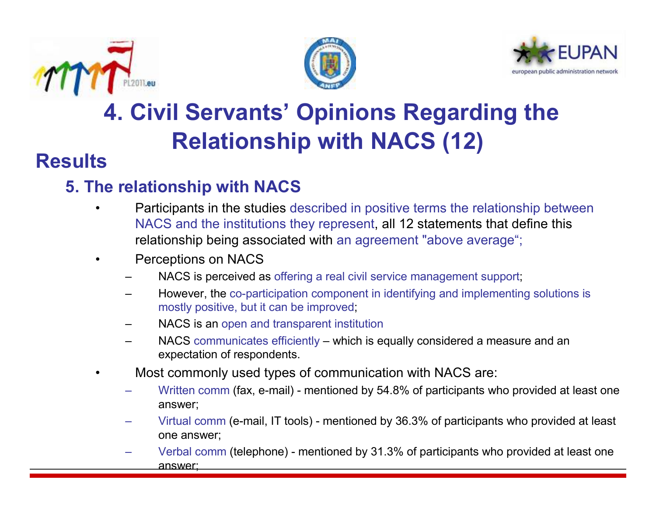





### **4. Civil Servants' Opinions Regarding the Relationship with NACS (12)**

#### **Results**

#### **5. The relationship with NACS**

- Participants in the studies described in positive terms the relationship between •NACS and the institutions they represent, all 12 statements that define this relationship being associated with an agreement "above average";
- • Perceptions on NACS
	- NACS is perceived as offering a real civil service management support;
	- However, the co-participation component in identifying and implementing solutions is mostly positive, but it can be improved;
	- NACS is an open and transparent institution
	- NACS communicates efficiently which is equally considered a measure and an expectation of respondents.
- • Most commonly used types of communication with NACS are:
	- Written comm (fax, e-mail) mentioned by 54.8% of participants who provided at least one<br>
	nonverti answer;
	- Virtual comm (e-mail, IT tools) mentioned by 36.3% of participants who provided at least one answer;
	- Verbal comm (telephone) mentioned by 31.3% of participants who provided at least one answer;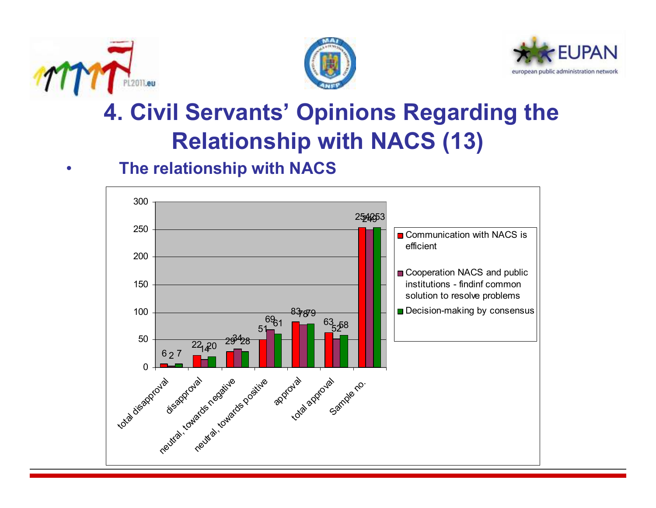





### **4. Civil Servants' Opinions Regarding the Relationship with NACS (13)**

#### •**The relationship with NACS**

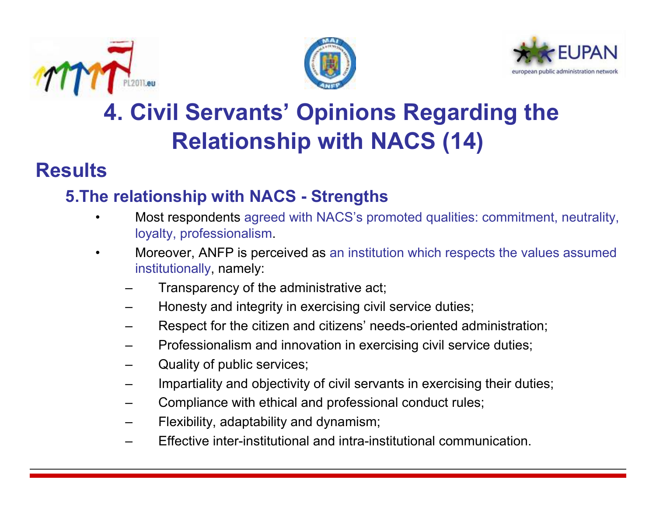





### **4. Civil Servants' Opinions Regarding the Relationship with NACS (14)**

#### **Results**

#### **5.The relationship with NACS - Strengths**

- • Most respondents agreed with NACS's promoted qualities: commitment, neutrality, loyalty, professionalism.
- • Moreover, ANFP is perceived as an institution which respects the values assumed institutionally, namely:
	- Transparency of the administrative act;
	- Honesty and integrity in exercising civil service duties;
	- Respect for the citizen and citizens' needs-oriented administration;
	- Professionalism and innovation in exercising civil service duties;
	- Quality of public services;
	- Impartiality and objectivity of civil servants in exercising their duties;
	- Compliance with ethical and professional conduct rules;
	- Flexibility, adaptability and dynamism;
	- Effective inter-institutional and intra-institutional communication.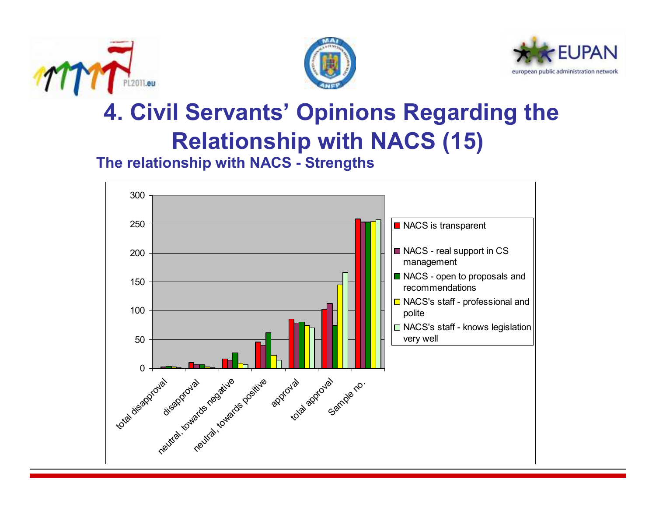





### **4. Civil Servants' Opinions Regarding the Relationship with NACS (15)**

**The relationship with NACS - Strengths**

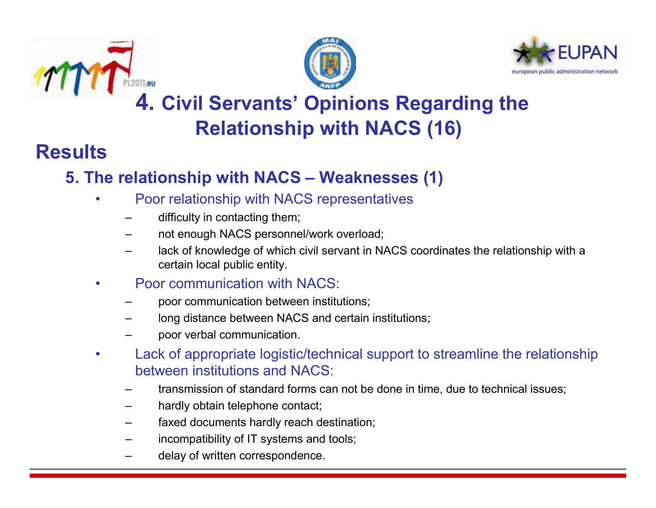





#### **4. Civil Servants' Opinions Regarding the Relationship with NACS (16)**

#### **Results**

### **5. The relationship with NACS – Weaknesses (1)**

- • Poor relationship with NACS representatives
	- difficulty in contacting them;
	- not enough NACS personnel/work overload;
	- lack of knowledge of which civil servant in NACS coordinates the relationship with a certain local public entity.
- • Poor communication with NACS:
	- poor communication between institutions;
	- long distance between NACS and certain institutions;
	- poor verbal communication.
- • Lack of appropriate logistic/technical support to streamline the relationship between institutions and NACS:
	- transmission of standard forms can not be done in time, due to technical issues;
	- hardly obtain telephone contact;
	- faxed documents hardly reach destination;
	- incompatibility of IT systems and tools;
	- delay of written correspondence.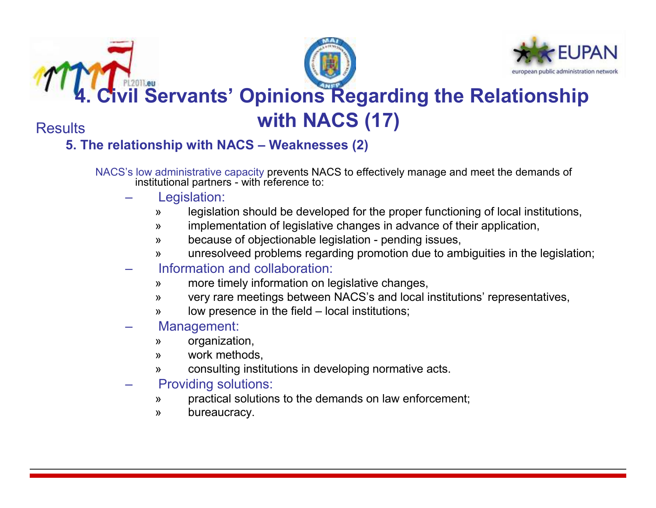





# **4. Figure 20. Comparist Servants' Opinions Regarding the Relationship with NACS (17)**

**Results** 

#### **5. The relationship with NACS – Weaknesses (2)**

NACS's low administrative capacity prevents NACS to effectively manage and meet the demands of NACS's low administrative capacity prevents NACS to effectively manage and meet the demands of institutional partners - with reference to:

- Legislation:
	- »legislation should be developed for the proper functioning of local institutions,
	- »implementation of legislative changes in advance of their application,
	- »because of objectionable legislation - pending issues,
	- »unresolveed problems regarding promotion due to ambiguities in the legislation;
- Information and collaboration:
	- »more timely information on legislative changes,
	- »very rare meetings between NACS's and local institutions' representatives,
	- »low presence in the field – local institutions;
- Management:
	- »organization,
	- »work methods,
	- »consulting institutions in developing normative acts.
- Providing solutions:
	- »practical solutions to the demands on law enforcement;
	- »bureaucracy.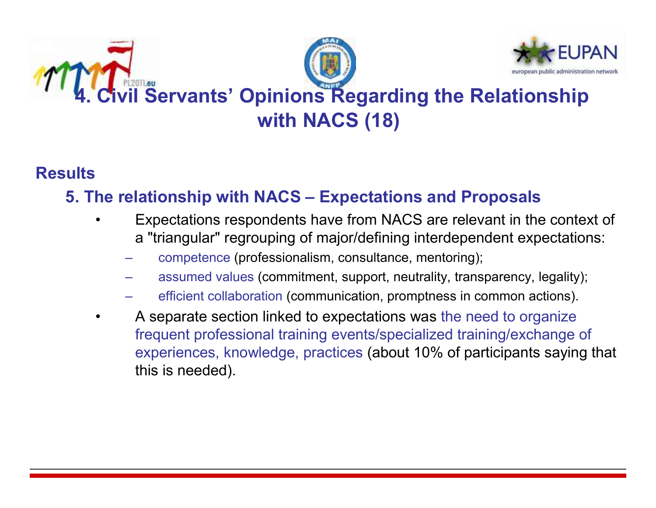

#### **Results**

#### **5. The relationship with NACS – Expectations and Proposals**

- • Expectations respondents have from NACS are relevant in the context of a "triangular" regrouping of major/defining interdependent expectations:
	- competence (professionalism, consultance, mentoring);
	- assumed values (commitment, support, neutrality, transparency, legality);
	- efficient collaboration (communication, promptness in common actions).
- • A separate section linked to expectations was the need to organize frequent professional training events/specialized training/exchange of experiences, knowledge, practices (about 10% of participants saying that this is needed).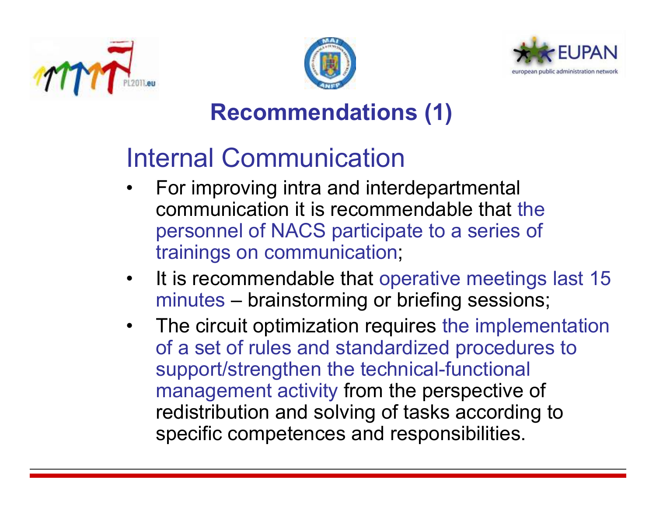





### **Recommendations (1)**

# Internal Communication

- For improving intra and interdepartmental<br>communication it is recommendable that the •communication it is recommendable that the personnel of NACS participate to a series of trainings on communication;
- •It is recommendable that operative meetings last 15 minutes – brainstorming or briefing sessions;<br>=
- The circuit optimization requires the implementation<br>ef a set of rules and standardized precedures to of a set of rules and standardized procedures to support/strengthen the technical-functional management activity from the perspective of redistribution and solving of tasks according to specific competences and responsibilities.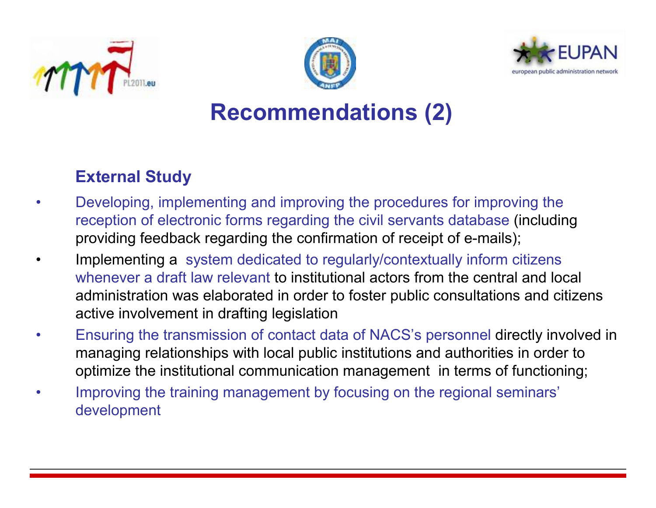





#### **Recommendations (2)**

#### **External Study**

- • Developing, implementing and improving the procedures for improving the reception of electronic forms regarding the civil servants database (including providing feedback regarding the confirmation of receipt of e-mails);
- • Implementing a system dedicated to regularly/contextually inform citizens whenever a draft law relevant to institutional actors from the central and local administration was elaborated in order to foster public consultations and citizens active involvement in drafting legislation
- • Ensuring the transmission of contact data of NACS's personnel directly involved in managing relationships with local public institutions and authorities in order to optimize the institutional communication management in terms of functioning;
- • Improving the training management by focusing on the regional seminars' development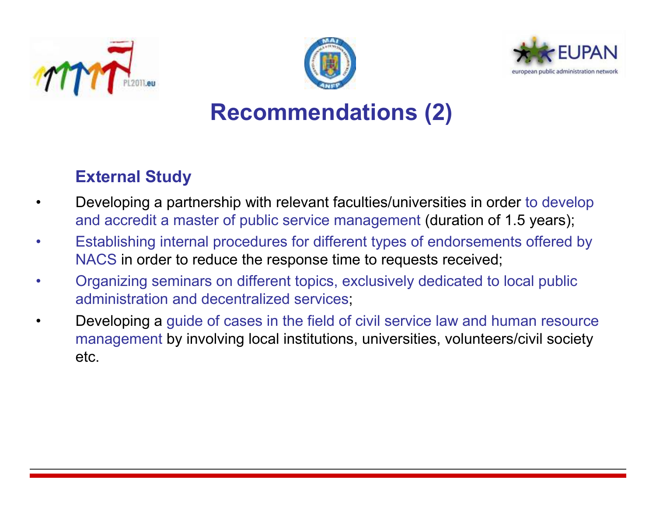





#### **Recommendations (2)**

#### **External Study**

- • Developing a partnership with relevant faculties/universities in order to develop and accredit a master of public service management (duration of 1.5 years);
- • Establishing internal procedures for different types of endorsements offered by NACS in order to reduce the response time to requests received;
- • Organizing seminars on different topics, exclusively dedicated to local public administration and decentralized services;
- • Developing a guide of cases in the field of civil service law and human resource management by involving local institutions, universities, volunteers/civil society etc.